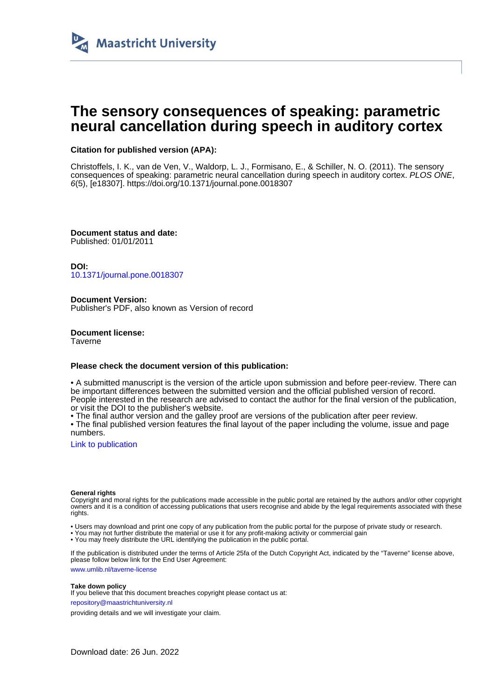

## **The sensory consequences of speaking: parametric neural cancellation during speech in auditory cortex**

## **Citation for published version (APA):**

Christoffels, I. K., van de Ven, V., Waldorp, L. J., Formisano, E., & Schiller, N. O. (2011). The sensory consequences of speaking: parametric neural cancellation during speech in auditory cortex. PLOS ONE, 6(5), [e18307]. <https://doi.org/10.1371/journal.pone.0018307>

**Document status and date:** Published: 01/01/2011

**DOI:** [10.1371/journal.pone.0018307](https://doi.org/10.1371/journal.pone.0018307)

**Document Version:** Publisher's PDF, also known as Version of record

**Document license: Taverne** 

## **Please check the document version of this publication:**

• A submitted manuscript is the version of the article upon submission and before peer-review. There can be important differences between the submitted version and the official published version of record. People interested in the research are advised to contact the author for the final version of the publication, or visit the DOI to the publisher's website.

• The final author version and the galley proof are versions of the publication after peer review.

• The final published version features the final layout of the paper including the volume, issue and page numbers.

[Link to publication](https://cris.maastrichtuniversity.nl/en/publications/704e34d5-cec3-4aff-ba02-2aeb4187315d)

#### **General rights**

Copyright and moral rights for the publications made accessible in the public portal are retained by the authors and/or other copyright owners and it is a condition of accessing publications that users recognise and abide by the legal requirements associated with these rights.

• Users may download and print one copy of any publication from the public portal for the purpose of private study or research.

• You may not further distribute the material or use it for any profit-making activity or commercial gain

• You may freely distribute the URL identifying the publication in the public portal.

If the publication is distributed under the terms of Article 25fa of the Dutch Copyright Act, indicated by the "Taverne" license above, please follow below link for the End User Agreement:

www.umlib.nl/taverne-license

#### **Take down policy**

If you believe that this document breaches copyright please contact us at: repository@maastrichtuniversity.nl

providing details and we will investigate your claim.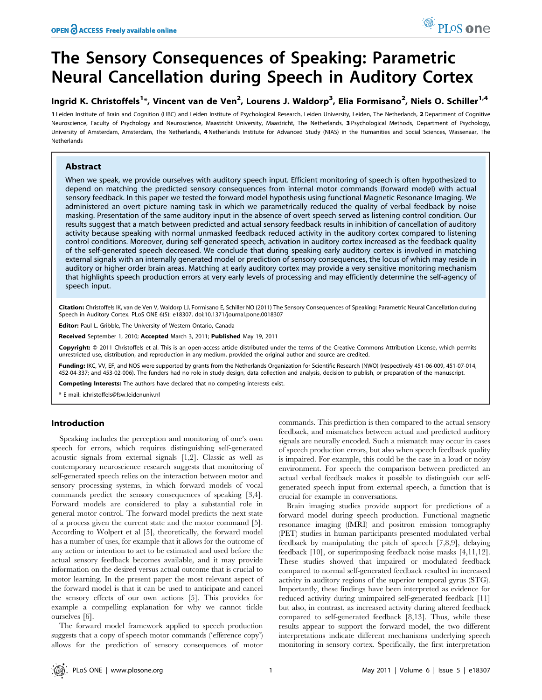# The Sensory Consequences of Speaking: Parametric Neural Cancellation during Speech in Auditory Cortex

## Ingrid K. Christoffels<sup>1</sup>\*, Vincent van de Ven<sup>2</sup>, Lourens J. Waldorp<sup>3</sup>, Elia Formisano<sup>2</sup>, Niels O. Schiller<sup>1,4</sup>

1 Leiden Institute of Brain and Cognition (LIBC) and Leiden Institute of Psychological Research, Leiden University, Leiden, The Netherlands, 2 Department of Cognitive Neuroscience, Faculty of Psychology and Neuroscience, Maastricht University, Maastricht, The Netherlands, 3 Psychological Methods, Department of Psychology, University of Amsterdam, Amsterdam, The Netherlands, 4 Netherlands Institute for Advanced Study (NIAS) in the Humanities and Social Sciences, Wassenaar, The Netherlands

## Abstract

When we speak, we provide ourselves with auditory speech input. Efficient monitoring of speech is often hypothesized to depend on matching the predicted sensory consequences from internal motor commands (forward model) with actual sensory feedback. In this paper we tested the forward model hypothesis using functional Magnetic Resonance Imaging. We administered an overt picture naming task in which we parametrically reduced the quality of verbal feedback by noise masking. Presentation of the same auditory input in the absence of overt speech served as listening control condition. Our results suggest that a match between predicted and actual sensory feedback results in inhibition of cancellation of auditory activity because speaking with normal unmasked feedback reduced activity in the auditory cortex compared to listening control conditions. Moreover, during self-generated speech, activation in auditory cortex increased as the feedback quality of the self-generated speech decreased. We conclude that during speaking early auditory cortex is involved in matching external signals with an internally generated model or prediction of sensory consequences, the locus of which may reside in auditory or higher order brain areas. Matching at early auditory cortex may provide a very sensitive monitoring mechanism that highlights speech production errors at very early levels of processing and may efficiently determine the self-agency of speech input.

Citation: Christoffels IK, van de Ven V, Waldorp LJ, Formisano E, Schiller NO (2011) The Sensory Consequences of Speaking: Parametric Neural Cancellation during Speech in Auditory Cortex. PLoS ONE 6(5): e18307. doi:10.1371/journal.pone.0018307

Editor: Paul L. Gribble, The University of Western Ontario, Canada

Received September 1, 2010; Accepted March 3, 2011; Published May 19, 2011

Copyright: © 2011 Christoffels et al. This is an open-access article distributed under the terms of the Creative Commons Attribution License, which permits unrestricted use, distribution, and reproduction in any medium, provided the original author and source are credited.

Funding: IKC, VV, EF, and NOS were supported by grants from the Netherlands Organization for Scientific Research (NWO) (respectively 451-06-009, 451-07-014, 452-04-337; and 453-02-006). The funders had no role in study design, data collection and analysis, decision to publish, or preparation of the manuscript.

Competing Interests: The authors have declared that no competing interests exist.

\* E-mail: ichristoffels@fsw.leidenuniv.nl

#### Introduction

Speaking includes the perception and monitoring of one's own speech for errors, which requires distinguishing self-generated acoustic signals from external signals [1,2]. Classic as well as contemporary neuroscience research suggests that monitoring of self-generated speech relies on the interaction between motor and sensory processing systems, in which forward models of vocal commands predict the sensory consequences of speaking [3,4]. Forward models are considered to play a substantial role in general motor control. The forward model predicts the next state of a process given the current state and the motor command [5]. According to Wolpert et al [5], theoretically, the forward model has a number of uses, for example that it allows for the outcome of any action or intention to act to be estimated and used before the actual sensory feedback becomes available, and it may provide information on the desired versus actual outcome that is crucial to motor learning. In the present paper the most relevant aspect of the forward model is that it can be used to anticipate and cancel the sensory effects of our own actions [5]. This provides for example a compelling explanation for why we cannot tickle ourselves [6].

The forward model framework applied to speech production suggests that a copy of speech motor commands ('efference copy') allows for the prediction of sensory consequences of motor commands. This prediction is then compared to the actual sensory feedback, and mismatches between actual and predicted auditory signals are neurally encoded. Such a mismatch may occur in cases of speech production errors, but also when speech feedback quality is impaired. For example, this could be the case in a loud or noisy environment. For speech the comparison between predicted an actual verbal feedback makes it possible to distinguish our selfgenerated speech input from external speech, a function that is crucial for example in conversations.

PLoS one

Brain imaging studies provide support for predictions of a forward model during speech production. Functional magnetic resonance imaging (fMRI) and positron emission tomography (PET) studies in human participants presented modulated verbal feedback by manipulating the pitch of speech [7,8,9], delaying feedback [10], or superimposing feedback noise masks [4,11,12]. These studies showed that impaired or modulated feedback compared to normal self-generated feedback resulted in increased activity in auditory regions of the superior temporal gyrus (STG). Importantly, these findings have been interpreted as evidence for reduced activity during unimpaired self-generated feedback [11] but also, in contrast, as increased activity during altered feedback compared to self-generated feedback [8,13]. Thus, while these results appear to support the forward model, the two different interpretations indicate different mechanisms underlying speech monitoring in sensory cortex. Specifically, the first interpretation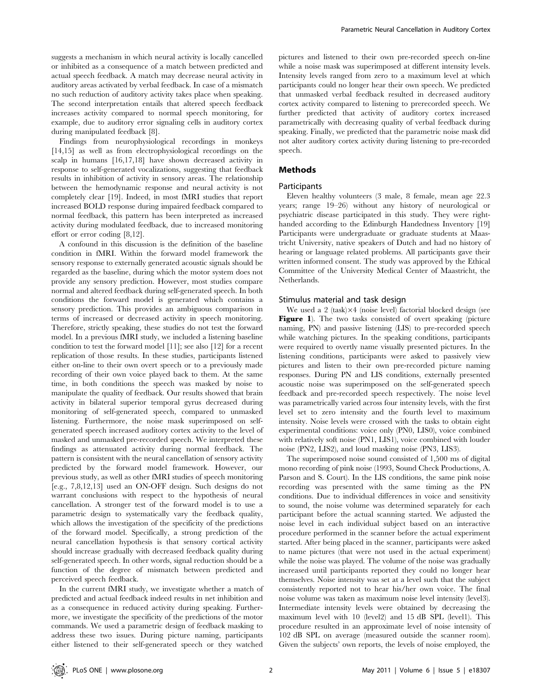suggests a mechanism in which neural activity is locally cancelled or inhibited as a consequence of a match between predicted and actual speech feedback. A match may decrease neural activity in auditory areas activated by verbal feedback. In case of a mismatch no such reduction of auditory activity takes place when speaking. The second interpretation entails that altered speech feedback increases activity compared to normal speech monitoring, for example, due to auditory error signaling cells in auditory cortex during manipulated feedback [8].

Findings from neurophysiological recordings in monkeys [14,15] as well as from electrophysiological recordings on the scalp in humans [16,17,18] have shown decreased activity in response to self-generated vocalizations, suggesting that feedback results in inhibition of activity in sensory areas. The relationship between the hemodynamic response and neural activity is not completely clear [19]. Indeed, in most fMRI studies that report increased BOLD response during impaired feedback compared to normal feedback, this pattern has been interpreted as increased activity during modulated feedback, due to increased monitoring effort or error coding [8,12].

A confound in this discussion is the definition of the baseline condition in fMRI. Within the forward model framework the sensory response to externally generated acoustic signals should be regarded as the baseline, during which the motor system does not provide any sensory prediction. However, most studies compare normal and altered feedback during self-generated speech. In both conditions the forward model is generated which contains a sensory prediction. This provides an ambiguous comparison in terms of increased or decreased activity in speech monitoring. Therefore, strictly speaking, these studies do not test the forward model. In a previous fMRI study, we included a listening baseline condition to test the forward model [11]; see also [12] for a recent replication of those results. In these studies, participants listened either on-line to their own overt speech or to a previously made recording of their own voice played back to them. At the same time, in both conditions the speech was masked by noise to manipulate the quality of feedback. Our results showed that brain activity in bilateral superior temporal gyrus decreased during monitoring of self-generated speech, compared to unmasked listening. Furthermore, the noise mask superimposed on selfgenerated speech increased auditory cortex activity to the level of masked and unmasked pre-recorded speech. We interpreted these findings as attenuated activity during normal feedback. The pattern is consistent with the neural cancellation of sensory activity predicted by the forward model framework. However, our previous study, as well as other fMRI studies of speech monitoring [e.g., 7,8,12,13] used an ON-OFF design. Such designs do not warrant conclusions with respect to the hypothesis of neural cancellation. A stronger test of the forward model is to use a parametric design to systematically vary the feedback quality, which allows the investigation of the specificity of the predictions of the forward model. Specifically, a strong prediction of the neural cancellation hypothesis is that sensory cortical activity should increase gradually with decreased feedback quality during self-generated speech. In other words, signal reduction should be a function of the degree of mismatch between predicted and perceived speech feedback.

In the current fMRI study, we investigate whether a match of predicted and actual feedback indeed results in net inhibition and as a consequence in reduced activity during speaking. Furthermore, we investigate the specificity of the predictions of the motor commands. We used a parametric design of feedback masking to address these two issues. During picture naming, participants either listened to their self-generated speech or they watched

pictures and listened to their own pre-recorded speech on-line while a noise mask was superimposed at different intensity levels. Intensity levels ranged from zero to a maximum level at which participants could no longer hear their own speech. We predicted that unmasked verbal feedback resulted in decreased auditory cortex activity compared to listening to prerecorded speech. We further predicted that activity of auditory cortex increased parametrically with decreasing quality of verbal feedback during speaking. Finally, we predicted that the parametric noise mask did not alter auditory cortex activity during listening to pre-recorded speech.

## Methods

#### Participants

Eleven healthy volunteers (3 male, 8 female, mean age 22.3 years; range 19–26) without any history of neurological or psychiatric disease participated in this study. They were righthanded according to the Edinburgh Handedness Inventory [19] Participants were undergraduate or graduate students at Maastricht University, native speakers of Dutch and had no history of hearing or language related problems. All participants gave their written informed consent. The study was approved by the Ethical Committee of the University Medical Center of Maastricht, the Netherlands.

#### Stimulus material and task design

We used a  $2$  (task) $\times4$  (noise level) factorial blocked design (see Figure 1). The two tasks consisted of overt speaking (picture naming, PN) and passive listening (LIS) to pre-recorded speech while watching pictures. In the speaking conditions, participants were required to overtly name visually presented pictures. In the listening conditions, participants were asked to passively view pictures and listen to their own pre-recorded picture naming responses. During PN and LIS conditions, externally presented acoustic noise was superimposed on the self-generated speech feedback and pre-recorded speech respectively. The noise level was parametrically varied across four intensity levels, with the first level set to zero intensity and the fourth level to maximum intensity. Noise levels were crossed with the tasks to obtain eight experimental conditions: voice only (PN0, LIS0), voice combined with relatively soft noise (PN1, LIS1), voice combined with louder noise (PN2, LIS2), and loud masking noise (PN3, LIS3).

The superimposed noise sound consisted of 1,500 ms of digital mono recording of pink noise (1993, Sound Check Productions, A. Parson and S. Court). In the LIS conditions, the same pink noise recording was presented with the same timing as the PN conditions. Due to individual differences in voice and sensitivity to sound, the noise volume was determined separately for each participant before the actual scanning started. We adjusted the noise level in each individual subject based on an interactive procedure performed in the scanner before the actual experiment started. After being placed in the scanner, participants were asked to name pictures (that were not used in the actual experiment) while the noise was played. The volume of the noise was gradually increased until participants reported they could no longer hear themselves. Noise intensity was set at a level such that the subject consistently reported not to hear his/her own voice. The final noise volume was taken as maximum noise level intensity (level3). Intermediate intensity levels were obtained by decreasing the maximum level with 10 (level2) and 15 dB SPL (level1). This procedure resulted in an approximate level of noise intensity of 102 dB SPL on average (measured outside the scanner room). Given the subjects' own reports, the levels of noise employed, the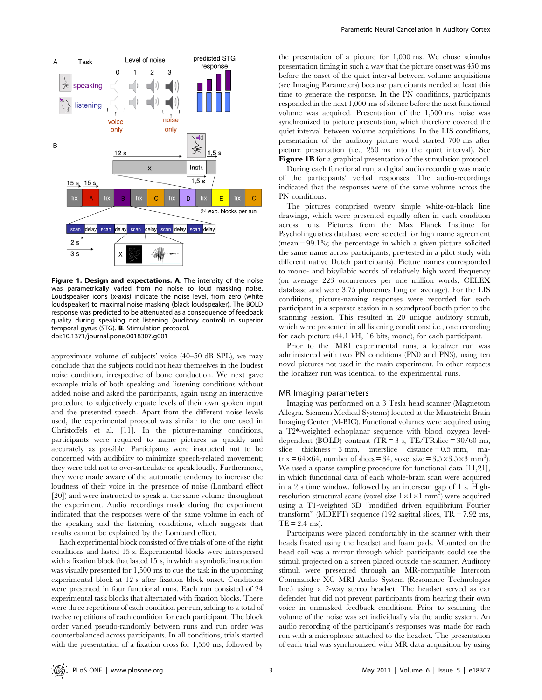

Figure 1. Design and expectations. A. The intensity of the noise was parametrically varied from no noise to loud masking noise. Loudspeaker icons (x-axis) indicate the noise level, from zero (white loudspeaker) to maximal noise masking (black loudspeaker). The BOLD response was predicted to be attenuated as a consequence of feedback quality during speaking not listening (auditory control) in superior temporal gyrus (STG). B. Stimulation protocol. doi:10.1371/journal.pone.0018307.g001

approximate volume of subjects' voice (40–50 dB SPL), we may conclude that the subjects could not hear themselves in the loudest noise condition, irrespective of bone conduction. We next gave example trials of both speaking and listening conditions without added noise and asked the participants, again using an interactive procedure to subjectively equate levels of their own spoken input and the presented speech. Apart from the different noise levels used, the experimental protocol was similar to the one used in Christoffels et al. [11]. In the picture-naming conditions, participants were required to name pictures as quickly and accurately as possible. Participants were instructed not to be concerned with audibility to minimize speech-related movement; they were told not to over-articulate or speak loudly. Furthermore, they were made aware of the automatic tendency to increase the loudness of their voice in the presence of noise (Lombard effect [20]) and were instructed to speak at the same volume throughout the experiment. Audio recordings made during the experiment indicated that the responses were of the same volume in each of the speaking and the listening conditions, which suggests that results cannot be explained by the Lombard effect.

Each experimental block consisted of five trials of one of the eight conditions and lasted 15 s. Experimental blocks were interspersed with a fixation block that lasted 15 s, in which a symbolic instruction was visually presented for 1,500 ms to cue the task in the upcoming experimental block at 12 s after fixation block onset. Conditions were presented in four functional runs. Each run consisted of 24 experimental task blocks that alternated with fixation blocks. There were three repetitions of each condition per run, adding to a total of twelve repetitions of each condition for each participant. The block order varied pseudo-randomly between runs and run order was counterbalanced across participants. In all conditions, trials started with the presentation of a fixation cross for 1,550 ms, followed by

the presentation of a picture for 1,000 ms. We chose stimulus presentation timing in such a way that the picture onset was 450 ms before the onset of the quiet interval between volume acquisitions (see Imaging Parameters) because participants needed at least this time to generate the response. In the PN conditions, participants responded in the next 1,000 ms of silence before the next functional volume was acquired. Presentation of the 1,500 ms noise was synchronized to picture presentation, which therefore covered the quiet interval between volume acquisitions. In the LIS conditions, presentation of the auditory picture word started 700 ms after picture presentation (i.e., 250 ms into the quiet interval). See Figure 1B for a graphical presentation of the stimulation protocol.

During each functional run, a digital audio recording was made of the participants' verbal responses. The audio-recordings indicated that the responses were of the same volume across the PN conditions.

The pictures comprised twenty simple white-on-black line drawings, which were presented equally often in each condition across runs. Pictures from the Max Planck Institute for Psycholinguistics database were selected for high name agreement (mean = 99.1%; the percentage in which a given picture solicited the same name across participants, pre-tested in a pilot study with different native Dutch participants). Picture names corresponded to mono- and bisyllabic words of relatively high word frequency (on average 223 occurrences per one million words, CELEX database and were 3.75 phonemes long on average). For the LIS conditions, picture-naming responses were recorded for each participant in a separate session in a soundproof booth prior to the scanning session. This resulted in 20 unique auditory stimuli, which were presented in all listening conditions: i.e., one recording for each picture (44.1 kH, 16 bits, mono), for each participant.

Prior to the fMRI experimental runs, a localizer run was administered with two PN conditions (PN0 and PN3), using ten novel pictures not used in the main experiment. In other respects the localizer run was identical to the experimental runs.

#### MR Imaging parameters

Imaging was performed on a 3 Tesla head scanner (Magnetom Allegra, Siemens Medical Systems) located at the Maastricht Brain Imaging Center (M-BIC). Functional volumes were acquired using a T2\*-weighted echoplanar sequence with blood oxygen leveldependent (BOLD) contrast (TR = 3 s, TE/TRslice =  $30/60$  ms, slice thickness = 3 mm, interslice distance =  $0.5$  mm, matrix =  $64 \times 64$ , number of slices = 34, voxel size =  $3.5 \times 3.5 \times 3$  mm<sup>3</sup>). We used a sparse sampling procedure for functional data [11,21], in which functional data of each whole-brain scan were acquired in a 2 s time window, followed by an interscan gap of 1 s. Highresolution structural scans (voxel size  $1 \times 1 \times 1$  mm<sup>3</sup>) were acquired using a T1-weighted 3D ''modified driven equilibrium Fourier transform'' (MDEFT) sequence (192 sagittal slices, TR = 7.92 ms,  $TE = 2.4$  ms).

Participants were placed comfortably in the scanner with their heads fixated using the headset and foam pads. Mounted on the head coil was a mirror through which participants could see the stimuli projected on a screen placed outside the scanner. Auditory stimuli were presented through an MR-compatible Intercom Commander XG MRI Audio System (Resonance Technologies Inc.) using a 2-way stereo headset. The headset served as ear defender but did not prevent participants from hearing their own voice in unmasked feedback conditions. Prior to scanning the volume of the noise was set individually via the audio system. An audio recording of the participant's responses was made for each run with a microphone attached to the headset. The presentation of each trial was synchronized with MR data acquisition by using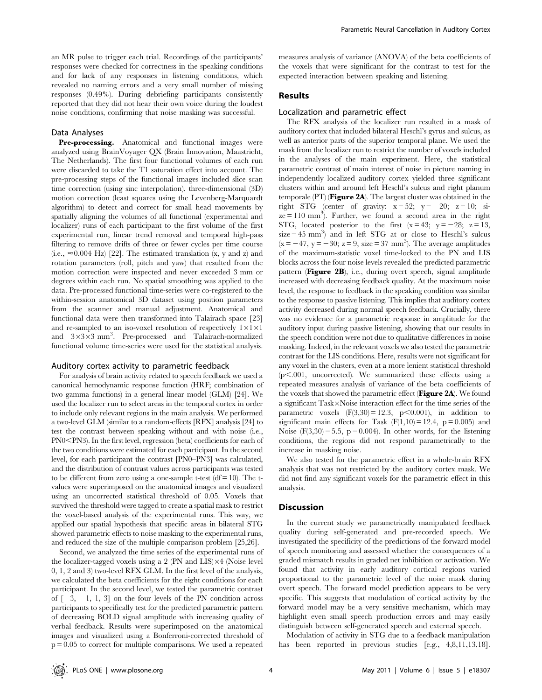an MR pulse to trigger each trial. Recordings of the participants' responses were checked for correctness in the speaking conditions and for lack of any responses in listening conditions, which revealed no naming errors and a very small number of missing responses (0.49%). During debriefing participants consistently reported that they did not hear their own voice during the loudest noise conditions, confirming that noise masking was successful.

#### Data Analyses

Pre-processing. Anatomical and functional images were analyzed using BrainVoyager QX (Brain Innovation, Maastricht, The Netherlands). The first four functional volumes of each run were discarded to take the T1 saturation effect into account. The pre-processing steps of the functional images included slice scan time correction (using sinc interpolation), three-dimensional (3D) motion correction (least squares using the Levenberg-Marquardt algorithm) to detect and correct for small head movements by spatially aligning the volumes of all functional (experimental and localizer) runs of each participant to the first volume of the first experimental run, linear trend removal and temporal high-pass filtering to remove drifts of three or fewer cycles per time course (i.e.,  $\approx 0.004$  Hz) [22]. The estimated translation (x, y and z) and rotation parameters (roll, pitch and yaw) that resulted from the motion correction were inspected and never exceeded 3 mm or degrees within each run. No spatial smoothing was applied to the data. Pre-processed functional time-series were co-registered to the within-session anatomical 3D dataset using position parameters from the scanner and manual adjustment. Anatomical and functional data were then transformed into Talairach space [23] and re-sampled to an iso-voxel resolution of respectively  $1 \times 1 \times 1$ and  $3\times3\times3$  mm<sup>3</sup>. Pre-processed and Talairach-normalized functional volume time-series were used for the statistical analysis.

#### Auditory cortex activity to parametric feedback

For analysis of brain activity related to speech feedback we used a canonical hemodynamic response function (HRF; combination of two gamma functions) in a general linear model (GLM) [24]. We used the localizer run to select areas in the temporal cortex in order to include only relevant regions in the main analysis. We performed a two-level GLM (similar to a random-effects [RFX] analysis [24] to test the contrast between speaking without and with noise (i.e., PN0<PN3). In the first level, regression (beta) coefficients for each of the two conditions were estimated for each participant. In the second level, for each participant the contrast [PN0–PN3] was calculated, and the distribution of contrast values across participants was tested to be different from zero using a one-sample t-test ( $df = 10$ ). The tvalues were superimposed on the anatomical images and visualized using an uncorrected statistical threshold of 0.05. Voxels that survived the threshold were tagged to create a spatial mask to restrict the voxel-based analysis of the experimental runs. This way, we applied our spatial hypothesis that specific areas in bilateral STG showed parametric effects to noise masking to the experimental runs, and reduced the size of the multiple comparison problem [25,26].

Second, we analyzed the time series of the experimental runs of the localizer-tagged voxels using a 2 (PN and  $LIS$ ) $\times$ 4 (Noise level 0, 1, 2 and 3) two-level RFX GLM. In the first level of the analysis, we calculated the beta coefficients for the eight conditions for each participant. In the second level, we tested the parametric contrast of  $[-3, -1, 1, 3]$  on the four levels of the PN condition across participants to specifically test for the predicted parametric pattern of decreasing BOLD signal amplitude with increasing quality of verbal feedback. Results were superimposed on the anatomical images and visualized using a Bonferroni-corrected threshold of  $p = 0.05$  to correct for multiple comparisons. We used a repeated measures analysis of variance (ANOVA) of the beta coefficients of the voxels that were significant for the contrast to test for the expected interaction between speaking and listening.

## Results

#### Localization and parametric effect

The RFX analysis of the localizer run resulted in a mask of auditory cortex that included bilateral Heschl's gyrus and sulcus, as well as anterior parts of the superior temporal plane. We used the mask from the localizer run to restrict the number of voxels included in the analyses of the main experiment. Here, the statistical parametric contrast of main interest of noise in picture naming in independently localized auditory cortex yielded three significant clusters within and around left Heschl's sulcus and right planum temporale (PT) (Figure 2A). The largest cluster was obtained in the right STG (center of gravity:  $x = 52$ ;  $y = -20$ ;  $z = 10$ ; si $ze = 110$  mm<sup>3</sup>). Further, we found a second area in the right STG, located posterior to the first  $(x=43; y=-28; z=13,$  $size = 45$  mm<sup>3</sup>) and in left STG at or close to Heschl's sulcus  $(x = -47, y = -30; z = 9, size = 37 mm<sup>3</sup>$ . The average amplitudes of the maximum-statistic voxel time-locked to the PN and LIS blocks across the four noise levels revealed the predicted parametric pattern (Figure 2B), i.e., during overt speech, signal amplitude increased with decreasing feedback quality. At the maximum noise level, the response to feedback in the speaking condition was similar to the response to passive listening. This implies that auditory cortex activity decreased during normal speech feedback. Crucially, there was no evidence for a parametric response in amplitude for the auditory input during passive listening, showing that our results in the speech condition were not due to qualitative differences in noise masking. Indeed, in the relevant voxels we also tested the parametric contrast for the LIS conditions. Here, results were not significant for any voxel in the clusters, even at a more lenient statistical threshold  $(p<.001$ , uncorrected). We summarized these effects using a repeated measures analysis of variance of the beta coefficients of the voxels that showed the parametric effect (Figure 2A). We found a significant  $Task \times Noise$  interaction effect for the time series of the parametric voxels  $(F(3,30) = 12.3, p < 0.001)$ , in addition to significant main effects for Task  $(F(1,10) = 12.4, p = 0.005)$  and Noise  $(F(3,30) = 5.5, p = 0.004)$ . In other words, for the listening conditions, the regions did not respond parametrically to the increase in masking noise.

We also tested for the parametric effect in a whole-brain RFX analysis that was not restricted by the auditory cortex mask. We did not find any significant voxels for the parametric effect in this analysis.

#### **Discussion**

In the current study we parametrically manipulated feedback quality during self-generated and pre-recorded speech. We investigated the specificity of the predictions of the forward model of speech monitoring and assessed whether the consequences of a graded mismatch results in graded net inhibition or activation. We found that activity in early auditory cortical regions varied proportional to the parametric level of the noise mask during overt speech. The forward model prediction appears to be very specific. This suggests that modulation of cortical activity by the forward model may be a very sensitive mechanism, which may highlight even small speech production errors and may easily distinguish between self-generated speech and external speech.

Modulation of activity in STG due to a feedback manipulation has been reported in previous studies [e.g., 4,8,11,13,18].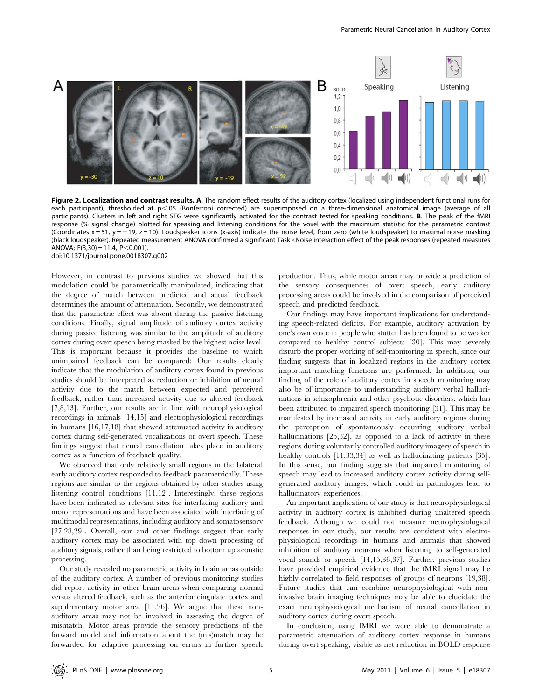

Figure 2. Localization and contrast results. A. The random effect results of the auditory cortex (localized using independent functional runs for each participant), thresholded at  $p<.05$  (Bonferroni corrected) are superimposed on a three-dimensional anatomical image (average of all participants). Clusters in left and right STG were significantly activated for the contrast tested for speaking conditions. **B**. The peak of the fMRI response (% signal change) plotted for speaking and listening conditions for the voxel with the maximum statistic for the parametric contrast (Coordinates  $x = 51$ ,  $y = -19$ ,  $z = 10$ ). Loudspeaker icons (x-axis) indicate the noise level, from zero (white loudspeaker) to maximal noise masking (black loudspeaker). Repeated measurement ANOVA confirmed a significant Task×Noise interaction effect of the peak responses (repeated measures ANOVA:  $F(3.30) = 11.4$ ,  $P < 0.001$ ). doi:10.1371/journal.pone.0018307.g002

However, in contrast to previous studies we showed that this modulation could be parametrically manipulated, indicating that the degree of match between predicted and actual feedback determines the amount of attenuation. Secondly, we demonstrated that the parametric effect was absent during the passive listening conditions. Finally, signal amplitude of auditory cortex activity during passive listening was similar to the amplitude of auditory cortex during overt speech being masked by the highest noise level. This is important because it provides the baseline to which unimpaired feedback can be compared: Our results clearly indicate that the modulation of auditory cortex found in previous studies should be interpreted as reduction or inhibition of neural activity due to the match between expected and perceived feedback, rather than increased activity due to altered feedback [7,8,13]. Further, our results are in line with neurophysiological recordings in animals [14,15] and electrophysiological recordings in humans [16,17,18] that showed attenuated activity in auditory cortex during self-generated vocalizations or overt speech. These findings suggest that neural cancellation takes place in auditory cortex as a function of feedback quality.

We observed that only relatively small regions in the bilateral early auditory cortex responded to feedback parametrically. These regions are similar to the regions obtained by other studies using listening control conditions [11,12]. Interestingly, these regions have been indicated as relevant sites for interfacing auditory and motor representations and have been associated with interfacing of multimodal representations, including auditory and somatosensory [27,28,29]. Overall, our and other findings suggest that early auditory cortex may be associated with top down processing of auditory signals, rather than being restricted to bottom up acoustic processing.

Our study revealed no parametric activity in brain areas outside of the auditory cortex. A number of previous monitoring studies did report activity in other brain areas when comparing normal versus altered feedback, such as the anterior cingulate cortex and supplementary motor area [11,26]. We argue that these nonauditory areas may not be involved in assessing the degree of mismatch. Motor areas provide the sensory predictions of the forward model and information about the (mis)match may be forwarded for adaptive processing on errors in further speech production. Thus, while motor areas may provide a prediction of the sensory consequences of overt speech, early auditory processing areas could be involved in the comparison of perceived speech and predicted feedback.

Our findings may have important implications for understanding speech-related deficits. For example, auditory activation by one's own voice in people who stutter has been found to be weaker compared to healthy control subjects [30]. This may severely disturb the proper working of self-monitoring in speech, since our finding suggests that in localized regions in the auditory cortex important matching functions are performed. In addition, our finding of the role of auditory cortex in speech monitoring may also be of importance to understanding auditory verbal hallucinations in schizophrenia and other psychotic disorders, which has been attributed to impaired speech monitoring [31]. This may be manifested by increased activity in early auditory regions during the perception of spontaneously occurring auditory verbal hallucinations [25,32], as opposed to a lack of activity in these regions during voluntarily controlled auditory imagery of speech in healthy controls [11,33,34] as well as hallucinating patients [35]. In this sense, our finding suggests that impaired monitoring of speech may lead to increased auditory cortex activity during selfgenerated auditory images, which could in pathologies lead to hallucinatory experiences.

An important implication of our study is that neurophysiological activity in auditory cortex is inhibited during unaltered speech feedback. Although we could not measure neurophysiological responses in our study, our results are consistent with electrophysiological recordings in humans and animals that showed inhibition of auditory neurons when listening to self-generated vocal sounds or speech [14,15,36,37]. Further, previous studies have provided empirical evidence that the fMRI signal may be highly correlated to field responses of groups of neurons [19,38]. Future studies that can combine neurophysiological with noninvasive brain imaging techniques may be able to elucidate the exact neurophysiological mechanism of neural cancellation in auditory cortex during overt speech.

In conclusion, using fMRI we were able to demonstrate a parametric attenuation of auditory cortex response in humans during overt speaking, visible as net reduction in BOLD response